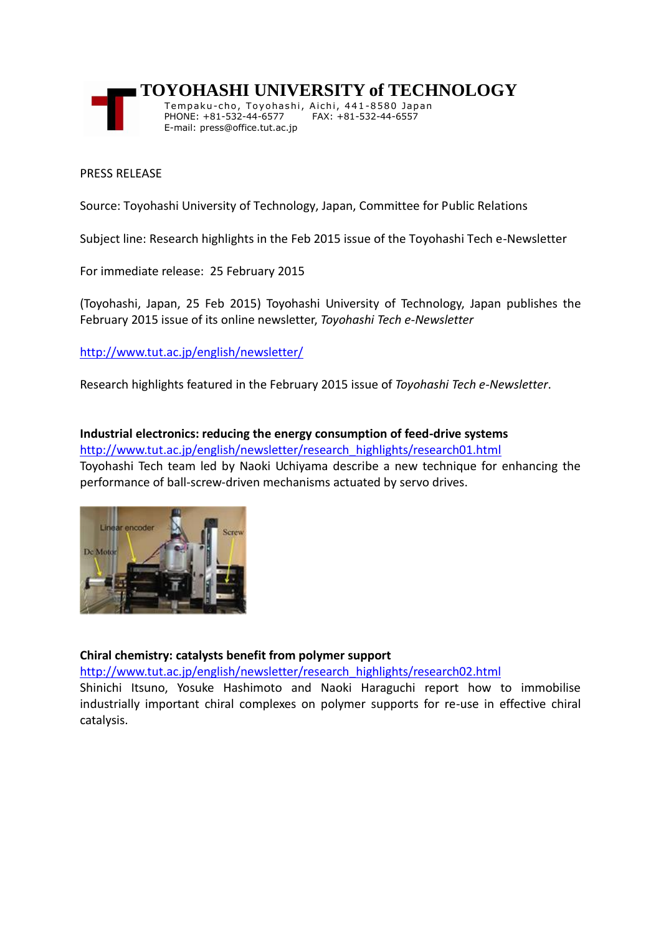

 **TOYOHASHI UNIVERSITY of TECHNOLOGY**

Tempaku-cho, Toyohashi, Aichi, 441-8580 Japan PHONE: +81-532-44-6577 FAX: +81-532-44-6557 E-mail: press@office.tut.ac.jp

#### PRESS RELEASE

Source: Toyohashi University of Technology, Japan, Committee for Public Relations

Subject line: Research highlights in the Feb 2015 issue of the Toyohashi Tech e-Newsletter

For immediate release: 25 February 2015

(Toyohashi, Japan, 25 Feb 2015) Toyohashi University of Technology, Japan publishes the February 2015 issue of its online newsletter, *Toyohashi Tech e-Newsletter*

## [http://www.tut.ac.jp/english/newsletter/](https://www.tut.ac.jp/english/newsletter/)

Research highlights featured in the February 2015 issue of *Toyohashi Tech e-Newsletter*.

**Industrial electronics: reducing the energy consumption of feed-drive systems** [http://www.tut.ac.jp/english/newsletter/research\\_highlights/research01.html](https://www.tut.ac.jp/english/newsletter/research_highlights/research01.html) Toyohashi Tech team led by Naoki Uchiyama describe a new technique for enhancing the performance of ball-screw-driven mechanisms actuated by servo drives.



# **Chiral chemistry: catalysts benefit from polymer support**

[http://www.tut.ac.jp/english/newsletter/research\\_highlights/research02.html](https://www.tut.ac.jp/english/newsletter/research_highlights/research02.html)

Shinichi Itsuno, Yosuke Hashimoto and Naoki Haraguchi report how to immobilise industrially important chiral complexes on polymer supports for re-use in effective chiral catalysis.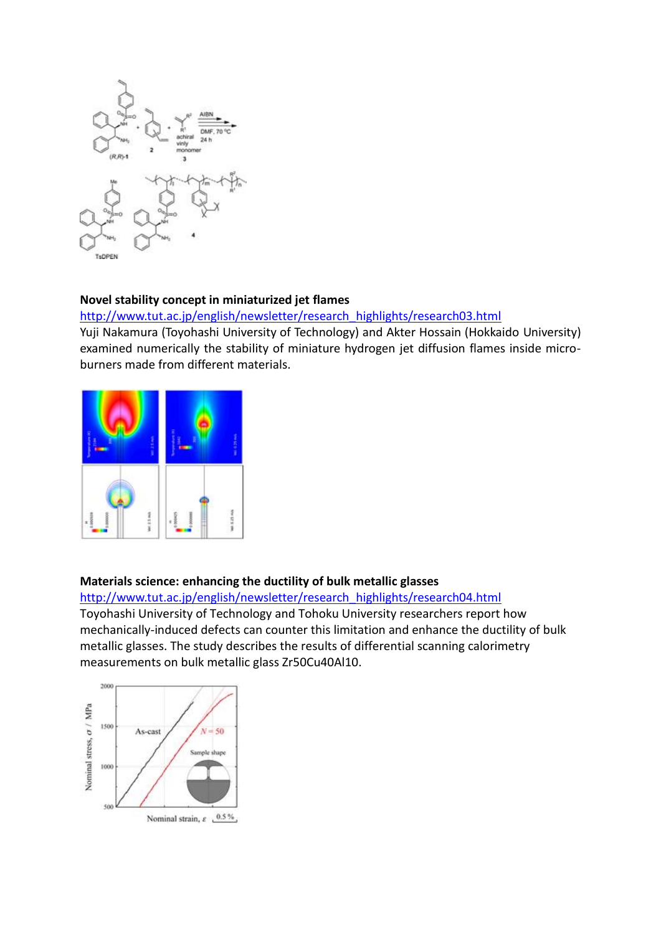

## **Novel stability concept in miniaturized jet flames**

[http://www.tut.ac.jp/english/newsletter/research\\_highlights/research03.html](https://www.tut.ac.jp/english/newsletter/research_highlights/research03.html)

Yuji Nakamura (Toyohashi University of Technology) and Akter Hossain (Hokkaido University) examined numerically the stability of miniature hydrogen jet diffusion flames inside microburners made from different materials.



#### **Materials science: enhancing the ductility of bulk metallic glasses**

[http://www.tut.ac.jp/english/newsletter/research\\_highlights/research04.html](https://www.tut.ac.jp/english/newsletter/research_highlights/research04.html) Toyohashi University of Technology and Tohoku University researchers report how mechanically-induced defects can counter this limitation and enhance the ductility of bulk metallic glasses. The study describes the results of differential scanning calorimetry [measurements on bulk metallic](http://tut-newsletter.dsstwt.jp/research_highlights/img/research04_img_01L.jpg) glass Zr50Cu40Al10.